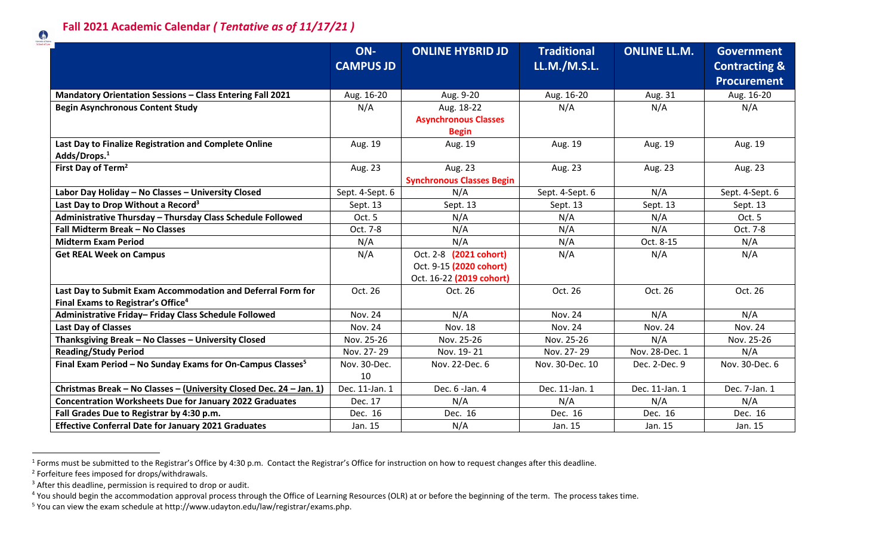

|                                                                        | ON-              | <b>ONLINE HYBRID JD</b>          | <b>Traditional</b> | <b>ONLINE LL.M.</b> | <b>Government</b>        |
|------------------------------------------------------------------------|------------------|----------------------------------|--------------------|---------------------|--------------------------|
|                                                                        | <b>CAMPUS JD</b> |                                  | LL.M./M.S.L.       |                     | <b>Contracting &amp;</b> |
|                                                                        |                  |                                  |                    |                     | <b>Procurement</b>       |
| <b>Mandatory Orientation Sessions - Class Entering Fall 2021</b>       | Aug. 16-20       | Aug. 9-20                        | Aug. 16-20         | Aug. 31             | Aug. 16-20               |
| <b>Begin Asynchronous Content Study</b>                                | N/A              | Aug. 18-22                       | N/A                | N/A                 | N/A                      |
|                                                                        |                  | <b>Asynchronous Classes</b>      |                    |                     |                          |
|                                                                        |                  | <b>Begin</b>                     |                    |                     |                          |
| Last Day to Finalize Registration and Complete Online                  | Aug. 19          | Aug. 19                          | Aug. 19            | Aug. 19             | Aug. 19                  |
| Adds/Drops. <sup>1</sup>                                               |                  |                                  |                    |                     |                          |
| First Day of Term <sup>2</sup>                                         | Aug. 23          | Aug. 23                          | Aug. 23            | Aug. 23             | Aug. 23                  |
|                                                                        |                  | <b>Synchronous Classes Begin</b> |                    |                     |                          |
| Labor Day Holiday - No Classes - University Closed                     | Sept. 4-Sept. 6  | N/A                              | Sept. 4-Sept. 6    | N/A                 | Sept. 4-Sept. 6          |
| Last Day to Drop Without a Record <sup>3</sup>                         | Sept. 13         | Sept. 13                         | Sept. 13           | Sept. 13            | Sept. 13                 |
| Administrative Thursday - Thursday Class Schedule Followed             | Oct. 5           | N/A                              | N/A                | N/A                 | Oct. 5                   |
| Fall Midterm Break - No Classes                                        | Oct. 7-8         | N/A                              | N/A                | N/A                 | Oct. 7-8                 |
| <b>Midterm Exam Period</b>                                             | N/A              | N/A                              | N/A                | Oct. 8-15           | N/A                      |
| <b>Get REAL Week on Campus</b>                                         | N/A              | Oct. 2-8 (2021 cohort)           | N/A                | N/A                 | N/A                      |
|                                                                        |                  | Oct. 9-15 (2020 cohort)          |                    |                     |                          |
|                                                                        |                  | Oct. 16-22 (2019 cohort)         |                    |                     |                          |
| Last Day to Submit Exam Accommodation and Deferral Form for            | Oct. 26          | Oct. 26                          | Oct. 26            | Oct. 26             | Oct. 26                  |
| Final Exams to Registrar's Office <sup>4</sup>                         |                  |                                  |                    |                     |                          |
| Administrative Friday- Friday Class Schedule Followed                  | <b>Nov. 24</b>   | N/A                              | <b>Nov. 24</b>     | N/A                 | N/A                      |
| <b>Last Day of Classes</b>                                             | <b>Nov. 24</b>   | <b>Nov. 18</b>                   | <b>Nov. 24</b>     | <b>Nov. 24</b>      | <b>Nov. 24</b>           |
| Thanksgiving Break - No Classes - University Closed                    | Nov. 25-26       | Nov. 25-26                       | Nov. 25-26         | N/A                 | Nov. 25-26               |
| <b>Reading/Study Period</b>                                            | Nov. 27-29       | Nov. 19-21                       | Nov. 27-29         | Nov. 28-Dec. 1      | N/A                      |
| Final Exam Period - No Sunday Exams for On-Campus Classes <sup>5</sup> | Nov. 30-Dec.     | Nov. 22-Dec. 6                   | Nov. 30-Dec. 10    | Dec. 2-Dec. 9       | Nov. 30-Dec. 6           |
|                                                                        | 10               |                                  |                    |                     |                          |
| Christmas Break - No Classes - (University Closed Dec. 24 - Jan. 1)    | Dec. 11-Jan. 1   | Dec. 6 -Jan. 4                   | Dec. 11-Jan. 1     | Dec. 11-Jan. 1      | Dec. 7-Jan. 1            |
| <b>Concentration Worksheets Due for January 2022 Graduates</b>         | Dec. 17          | N/A                              | N/A                | N/A                 | N/A                      |
| Fall Grades Due to Registrar by 4:30 p.m.                              | Dec. 16          | Dec. 16                          | Dec. 16            | Dec. 16             | Dec. 16                  |
| <b>Effective Conferral Date for January 2021 Graduates</b>             | Jan. 15          | N/A                              | Jan. 15            | Jan. 15             | Jan. 15                  |

 $^1$  Forms must be submitted to the Registrar's Office by 4:30 p.m. Contact the Registrar's Office for instruction on how to request changes after this deadline.

 $\overline{a}$ 

<sup>&</sup>lt;sup>2</sup> Forfeiture fees imposed for drops/withdrawals.

<sup>&</sup>lt;sup>3</sup> After this deadline, permission is required to drop or audit.

<sup>&</sup>lt;sup>4</sup> You should begin the accommodation approval process through the Office of Learning Resources (OLR) at or before the beginning of the term. The process takes time.

<sup>5</sup> You can view the exam schedule at http://www.udayton.edu/law/registrar/exams.php.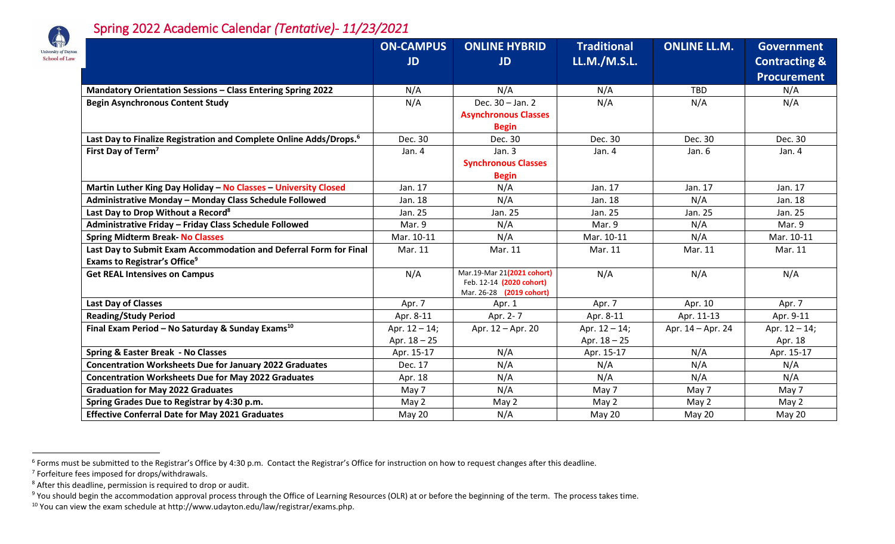

## Spring 2022 Academic Calendar *(Tentative)- 11/23/2021*

|                                                                                | <b>ON-CAMPUS</b><br>JD | <b>ONLINE HYBRID</b><br><b>JD</b>                                                  | <b>Traditional</b><br><b>LL.M./M.S.L.</b> | <b>ONLINE LL.M.</b> | <b>Government</b><br><b>Contracting &amp;</b> |
|--------------------------------------------------------------------------------|------------------------|------------------------------------------------------------------------------------|-------------------------------------------|---------------------|-----------------------------------------------|
|                                                                                |                        |                                                                                    |                                           |                     | <b>Procurement</b>                            |
| Mandatory Orientation Sessions - Class Entering Spring 2022                    | N/A                    | N/A                                                                                | N/A                                       | <b>TBD</b>          | N/A                                           |
| <b>Begin Asynchronous Content Study</b>                                        | N/A                    | Dec. 30 - Jan. 2                                                                   | N/A                                       | N/A                 | N/A                                           |
|                                                                                |                        | <b>Asynchronous Classes</b>                                                        |                                           |                     |                                               |
|                                                                                |                        | <b>Begin</b>                                                                       |                                           |                     |                                               |
| Last Day to Finalize Registration and Complete Online Adds/Drops. <sup>6</sup> | Dec. 30                | Dec. 30                                                                            | Dec. 30                                   | Dec. 30             | Dec. 30                                       |
| First Day of Term <sup>7</sup>                                                 | Jan. 4                 | Jan. 3                                                                             | Jan. 4                                    | Jan. 6              | Jan. 4                                        |
|                                                                                |                        | <b>Synchronous Classes</b>                                                         |                                           |                     |                                               |
|                                                                                |                        | <b>Begin</b>                                                                       |                                           |                     |                                               |
| Martin Luther King Day Holiday - No Classes - University Closed                | Jan. 17                | N/A                                                                                | Jan. 17                                   | Jan. 17             | Jan. 17                                       |
| Administrative Monday - Monday Class Schedule Followed                         | Jan. 18                | N/A                                                                                | Jan. 18                                   | N/A                 | Jan. 18                                       |
| Last Day to Drop Without a Record <sup>8</sup>                                 | Jan. 25                | Jan. 25                                                                            | Jan. 25                                   | Jan. 25             | Jan. 25                                       |
| Administrative Friday - Friday Class Schedule Followed                         | Mar. 9                 | N/A                                                                                | Mar. 9                                    | N/A                 | Mar. 9                                        |
| <b>Spring Midterm Break- No Classes</b>                                        | Mar. 10-11             | N/A                                                                                | Mar. 10-11                                | N/A                 | Mar. 10-11                                    |
| Last Day to Submit Exam Accommodation and Deferral Form for Final              | Mar. 11                | Mar. 11                                                                            | Mar. 11                                   | Mar. 11             | Mar. 11                                       |
| Exams to Registrar's Office <sup>9</sup>                                       |                        |                                                                                    |                                           |                     |                                               |
| <b>Get REAL Intensives on Campus</b>                                           | N/A                    | Mar.19-Mar 21(2021 cohort)<br>Feb. 12-14 (2020 cohort)<br>Mar. 26-28 (2019 cohort) | N/A                                       | N/A                 | N/A                                           |
| <b>Last Day of Classes</b>                                                     | Apr. 7                 | Apr. 1                                                                             | Apr. 7                                    | Apr. 10             | Apr. 7                                        |
| <b>Reading/Study Period</b>                                                    | Apr. 8-11              | Apr. 2-7                                                                           | Apr. 8-11                                 | Apr. 11-13          | Apr. 9-11                                     |
| Final Exam Period - No Saturday & Sunday Exams <sup>10</sup>                   | Apr. $12 - 14$ ;       | Apr. 12 - Apr. 20                                                                  | Apr. $12 - 14$ ;                          | Apr. 14 - Apr. 24   | Apr. $12 - 14$ ;                              |
|                                                                                | Apr. $18 - 25$         |                                                                                    | Apr. $18 - 25$                            |                     | Apr. 18                                       |
| <b>Spring &amp; Easter Break - No Classes</b>                                  | Apr. 15-17             | N/A                                                                                | Apr. 15-17                                | N/A                 | Apr. 15-17                                    |
| <b>Concentration Worksheets Due for January 2022 Graduates</b>                 | Dec. 17                | N/A                                                                                | N/A                                       | N/A                 | N/A                                           |
| <b>Concentration Worksheets Due for May 2022 Graduates</b>                     | Apr. 18                | N/A                                                                                | N/A                                       | N/A                 | N/A                                           |
| <b>Graduation for May 2022 Graduates</b>                                       | May 7                  | N/A                                                                                | May 7                                     | May 7               | May 7                                         |
| Spring Grades Due to Registrar by 4:30 p.m.                                    | May 2                  | May 2                                                                              | May 2                                     | May 2               | May 2                                         |
| <b>Effective Conferral Date for May 2021 Graduates</b>                         | <b>May 20</b>          | N/A                                                                                | <b>May 20</b>                             | <b>May 20</b>       | <b>May 20</b>                                 |

 $\overline{a}$ 

 $^6$  Forms must be submitted to the Registrar's Office by 4:30 p.m. Contact the Registrar's Office for instruction on how to request changes after this deadline.

<sup>&</sup>lt;sup>7</sup> Forfeiture fees imposed for drops/withdrawals.

 $8$  After this deadline, permission is required to drop or audit.

<sup>&</sup>lt;sup>9</sup> You should begin the accommodation approval process through the Office of Learning Resources (OLR) at or before the beginning of the term. The process takes time.

<sup>10</sup> You can view the exam schedule at http://www.udayton.edu/law/registrar/exams.php.